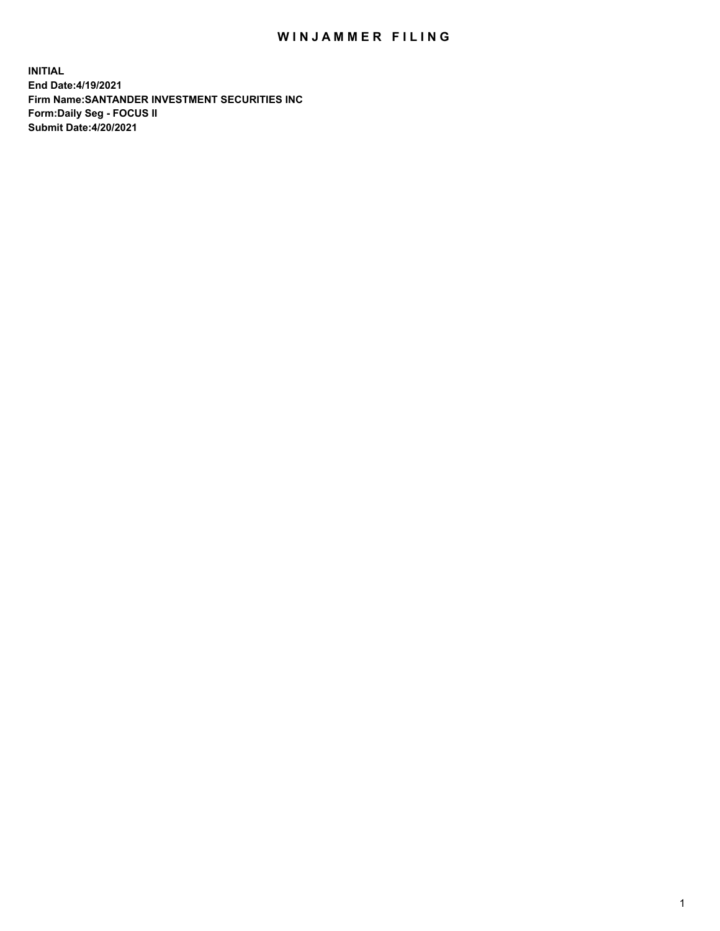## WIN JAMMER FILING

**INITIAL End Date:4/19/2021 Firm Name:SANTANDER INVESTMENT SECURITIES INC Form:Daily Seg - FOCUS II Submit Date:4/20/2021**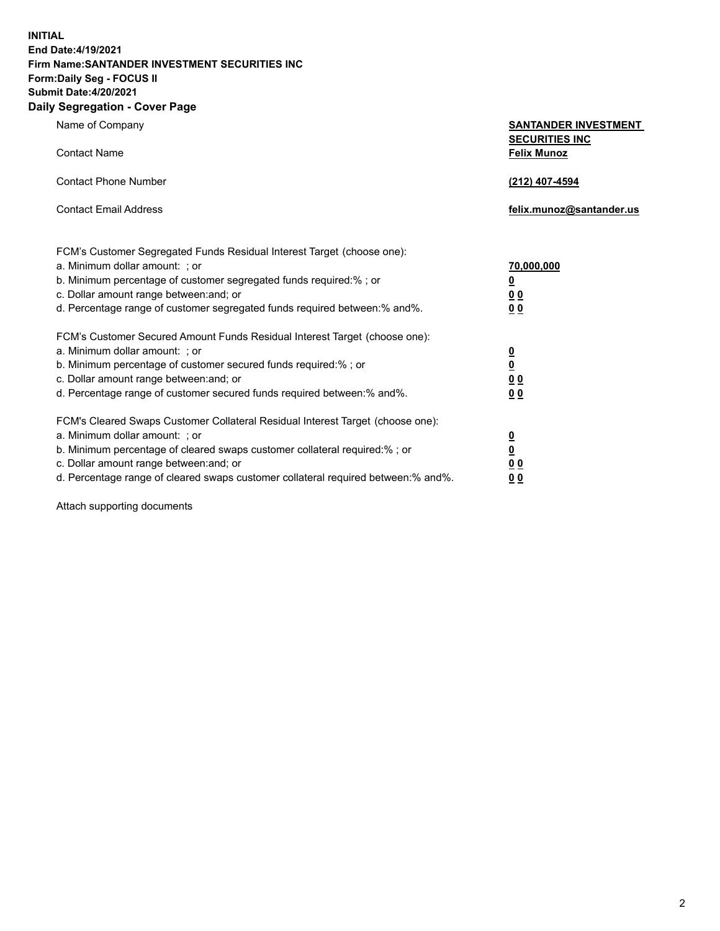**INITIAL End Date:4/19/2021 Firm Name:SANTANDER INVESTMENT SECURITIES INC Form:Daily Seg - FOCUS II Submit Date:4/20/2021 Daily Segregation - Cover Page**

| , ocgicgation - oover rage                                                                                                                                                                                                                                                                                                                                                         |                                                                                    |
|------------------------------------------------------------------------------------------------------------------------------------------------------------------------------------------------------------------------------------------------------------------------------------------------------------------------------------------------------------------------------------|------------------------------------------------------------------------------------|
| Name of Company                                                                                                                                                                                                                                                                                                                                                                    | <b>SANTANDER INVESTMENT</b><br><b>SECURITIES INC</b>                               |
| <b>Contact Name</b>                                                                                                                                                                                                                                                                                                                                                                | <b>Felix Munoz</b>                                                                 |
| <b>Contact Phone Number</b>                                                                                                                                                                                                                                                                                                                                                        | (212) 407-4594                                                                     |
| <b>Contact Email Address</b>                                                                                                                                                                                                                                                                                                                                                       | felix.munoz@santander.us                                                           |
| FCM's Customer Segregated Funds Residual Interest Target (choose one):<br>a. Minimum dollar amount: ; or<br>b. Minimum percentage of customer segregated funds required:% ; or<br>c. Dollar amount range between: and; or                                                                                                                                                          | 70,000,000<br>$\underline{\mathbf{0}}$<br>0 <sub>0</sub>                           |
| d. Percentage range of customer segregated funds required between: % and %.<br>FCM's Customer Secured Amount Funds Residual Interest Target (choose one):<br>a. Minimum dollar amount: ; or<br>b. Minimum percentage of customer secured funds required:%; or<br>c. Dollar amount range between: and; or<br>d. Percentage range of customer secured funds required between:% and%. | 0 <sub>0</sub><br>$\frac{0}{0}$<br>$\underline{0} \underline{0}$<br>0 <sub>0</sub> |
| FCM's Cleared Swaps Customer Collateral Residual Interest Target (choose one):<br>a. Minimum dollar amount: ; or<br>b. Minimum percentage of cleared swaps customer collateral required:% ; or<br>c. Dollar amount range between: and; or<br>d. Percentage range of cleared swaps customer collateral required between:% and%.                                                     | $\frac{0}{0}$<br>$\underline{0} \underline{0}$<br>0 <sub>0</sub>                   |

Attach supporting documents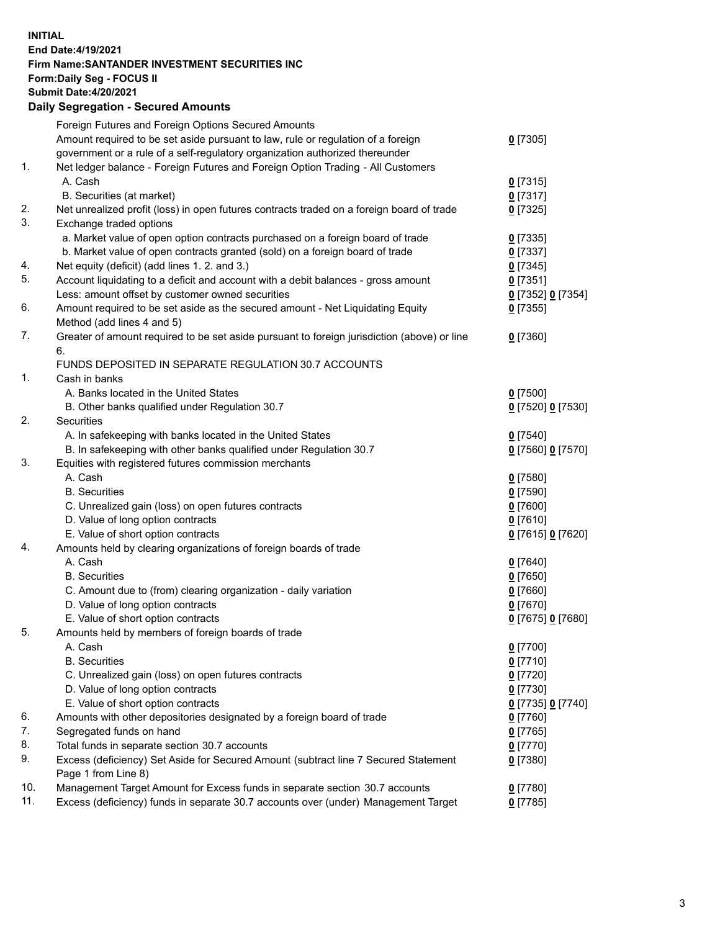**INITIAL End Date:4/19/2021 Firm Name:SANTANDER INVESTMENT SECURITIES INC Form:Daily Seg - FOCUS II Submit Date:4/20/2021 Daily Segregation - Secured Amounts**

|     | Foreign Futures and Foreign Options Secured Amounts                                         |                          |
|-----|---------------------------------------------------------------------------------------------|--------------------------|
|     | Amount required to be set aside pursuant to law, rule or regulation of a foreign            | $0$ [7305]               |
|     | government or a rule of a self-regulatory organization authorized thereunder                |                          |
| 1.  | Net ledger balance - Foreign Futures and Foreign Option Trading - All Customers             |                          |
|     | A. Cash                                                                                     | $0$ [7315]               |
|     | B. Securities (at market)                                                                   | $0$ [7317]               |
| 2.  | Net unrealized profit (loss) in open futures contracts traded on a foreign board of trade   | $0$ [7325]               |
| 3.  | Exchange traded options                                                                     |                          |
|     | a. Market value of open option contracts purchased on a foreign board of trade              | $0$ [7335]               |
|     | b. Market value of open contracts granted (sold) on a foreign board of trade                | $0$ [7337]               |
| 4.  | Net equity (deficit) (add lines 1. 2. and 3.)                                               | $0$ [7345]               |
| 5.  | Account liquidating to a deficit and account with a debit balances - gross amount           | $0$ [7351]               |
|     | Less: amount offset by customer owned securities                                            | 0 [7352] 0 [7354]        |
| 6.  | Amount required to be set aside as the secured amount - Net Liquidating Equity              | $0$ [7355]               |
|     | Method (add lines 4 and 5)                                                                  |                          |
| 7.  | Greater of amount required to be set aside pursuant to foreign jurisdiction (above) or line | $0$ [7360]               |
|     | 6.                                                                                          |                          |
|     | FUNDS DEPOSITED IN SEPARATE REGULATION 30.7 ACCOUNTS                                        |                          |
| 1.  | Cash in banks                                                                               |                          |
|     | A. Banks located in the United States                                                       | $0$ [7500]               |
|     | B. Other banks qualified under Regulation 30.7                                              | 0 [7520] 0 [7530]        |
| 2.  | <b>Securities</b>                                                                           |                          |
|     | A. In safekeeping with banks located in the United States                                   | $0$ [7540]               |
|     | B. In safekeeping with other banks qualified under Regulation 30.7                          | 0 [7560] 0 [7570]        |
| 3.  | Equities with registered futures commission merchants                                       |                          |
|     | A. Cash                                                                                     | $0$ [7580]               |
|     | <b>B.</b> Securities                                                                        | $0$ [7590]               |
|     | C. Unrealized gain (loss) on open futures contracts                                         | $0$ [7600]               |
|     | D. Value of long option contracts                                                           | $0$ [7610]               |
|     | E. Value of short option contracts                                                          | 0 [7615] 0 [7620]        |
| 4.  | Amounts held by clearing organizations of foreign boards of trade                           |                          |
|     | A. Cash                                                                                     | $0$ [7640]               |
|     | <b>B.</b> Securities                                                                        | $0$ [7650]               |
|     | C. Amount due to (from) clearing organization - daily variation                             | $0$ [7660]               |
|     | D. Value of long option contracts                                                           | $0$ [7670]               |
| 5.  | E. Value of short option contracts                                                          | 0 [7675] 0 [7680]        |
|     | Amounts held by members of foreign boards of trade                                          |                          |
|     | A. Cash                                                                                     | 0 [7700]                 |
|     | <b>B.</b> Securities<br>C. Unrealized gain (loss) on open futures contracts                 | 0 <sup>[7710]</sup>      |
|     | D. Value of long option contracts                                                           | $0$ [7720]<br>$0$ [7730] |
|     | E. Value of short option contracts                                                          | 0 [7735] 0 [7740]        |
| 6.  | Amounts with other depositories designated by a foreign board of trade                      | $0$ [7760]               |
| 7.  | Segregated funds on hand                                                                    | $0$ [7765]               |
| 8.  | Total funds in separate section 30.7 accounts                                               | $0$ [7770]               |
| 9.  | Excess (deficiency) Set Aside for Secured Amount (subtract line 7 Secured Statement         |                          |
|     | Page 1 from Line 8)                                                                         | 0 [7380]                 |
| 10. | Management Target Amount for Excess funds in separate section 30.7 accounts                 | $0$ [7780]               |
| 11. | Excess (deficiency) funds in separate 30.7 accounts over (under) Management Target          | 0 <sup>[7785]</sup>      |
|     |                                                                                             |                          |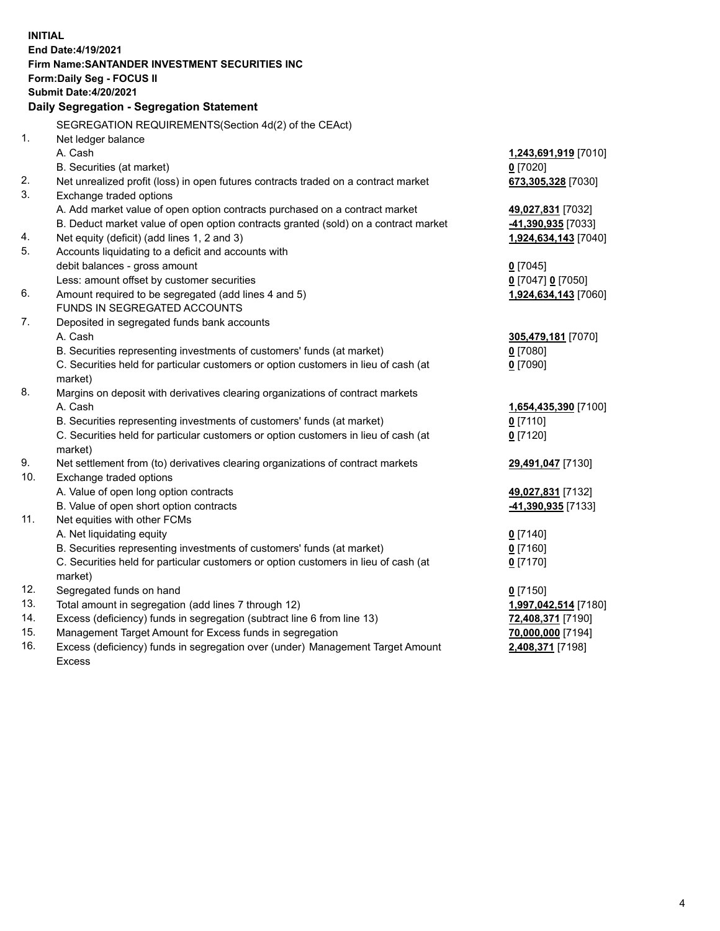| <b>INITIAL</b> |                                                                                           |                                    |  |  |  |  |
|----------------|-------------------------------------------------------------------------------------------|------------------------------------|--|--|--|--|
|                | End Date: 4/19/2021                                                                       |                                    |  |  |  |  |
|                | Firm Name: SANTANDER INVESTMENT SECURITIES INC                                            |                                    |  |  |  |  |
|                | Form: Daily Seg - FOCUS II                                                                |                                    |  |  |  |  |
|                | <b>Submit Date:4/20/2021</b>                                                              |                                    |  |  |  |  |
|                | Daily Segregation - Segregation Statement                                                 |                                    |  |  |  |  |
|                | SEGREGATION REQUIREMENTS(Section 4d(2) of the CEAct)                                      |                                    |  |  |  |  |
| 1.             | Net ledger balance                                                                        |                                    |  |  |  |  |
|                | A. Cash                                                                                   | 1,243,691,919 [7010]               |  |  |  |  |
|                | B. Securities (at market)                                                                 | $0$ [7020]                         |  |  |  |  |
| 2.             | Net unrealized profit (loss) in open futures contracts traded on a contract market        | 673,305,328 [7030]                 |  |  |  |  |
| 3.             | Exchange traded options                                                                   |                                    |  |  |  |  |
|                | A. Add market value of open option contracts purchased on a contract market               | 49,027,831 [7032]                  |  |  |  |  |
|                | B. Deduct market value of open option contracts granted (sold) on a contract market       | -41,390,935 [7033]                 |  |  |  |  |
| 4.             | Net equity (deficit) (add lines 1, 2 and 3)                                               | 1,924,634,143 [7040]               |  |  |  |  |
| 5.             | Accounts liquidating to a deficit and accounts with                                       |                                    |  |  |  |  |
|                | debit balances - gross amount                                                             | $0$ [7045]                         |  |  |  |  |
|                | Less: amount offset by customer securities                                                | 0 [7047] 0 [7050]                  |  |  |  |  |
| 6.             | Amount required to be segregated (add lines 4 and 5)                                      | 1,924,634,143 [7060]               |  |  |  |  |
|                | FUNDS IN SEGREGATED ACCOUNTS                                                              |                                    |  |  |  |  |
| 7.             | Deposited in segregated funds bank accounts                                               |                                    |  |  |  |  |
|                | A. Cash                                                                                   | 305,479,181 [7070]                 |  |  |  |  |
|                | B. Securities representing investments of customers' funds (at market)                    | $0$ [7080]                         |  |  |  |  |
|                | C. Securities held for particular customers or option customers in lieu of cash (at       | $0$ [7090]                         |  |  |  |  |
| 8.             | market)                                                                                   |                                    |  |  |  |  |
|                | Margins on deposit with derivatives clearing organizations of contract markets<br>A. Cash |                                    |  |  |  |  |
|                | B. Securities representing investments of customers' funds (at market)                    | 1,654,435,390 [7100]<br>$0$ [7110] |  |  |  |  |
|                | C. Securities held for particular customers or option customers in lieu of cash (at       | $0$ [7120]                         |  |  |  |  |
|                | market)                                                                                   |                                    |  |  |  |  |
| 9.             | Net settlement from (to) derivatives clearing organizations of contract markets           | 29,491,047 [7130]                  |  |  |  |  |
| 10.            | Exchange traded options                                                                   |                                    |  |  |  |  |
|                | A. Value of open long option contracts                                                    | 49,027,831 [7132]                  |  |  |  |  |
|                | B. Value of open short option contracts                                                   | -41,390,935 [7133]                 |  |  |  |  |
| 11.            | Net equities with other FCMs                                                              |                                    |  |  |  |  |
|                | A. Net liquidating equity                                                                 | $0$ [7140]                         |  |  |  |  |
|                | B. Securities representing investments of customers' funds (at market)                    | $0$ [7160]                         |  |  |  |  |
|                | C. Securities held for particular customers or option customers in lieu of cash (at       | $0$ [7170]                         |  |  |  |  |
|                | market)                                                                                   |                                    |  |  |  |  |
| 12.            | Segregated funds on hand                                                                  | $0$ [7150]                         |  |  |  |  |
| 13.            | Total amount in segregation (add lines 7 through 12)                                      | 1,997,042,514 [7180]               |  |  |  |  |
| 14.            | Excess (deficiency) funds in segregation (subtract line 6 from line 13)                   | 72,408,371 [7190]                  |  |  |  |  |
| 15.            | Management Target Amount for Excess funds in segregation                                  | 70,000,000 [7194]                  |  |  |  |  |
| 16.            | Excess (deficiency) funds in segregation over (under) Management Target Amount            | 2,408,371 [7198]                   |  |  |  |  |
|                | Excess                                                                                    |                                    |  |  |  |  |